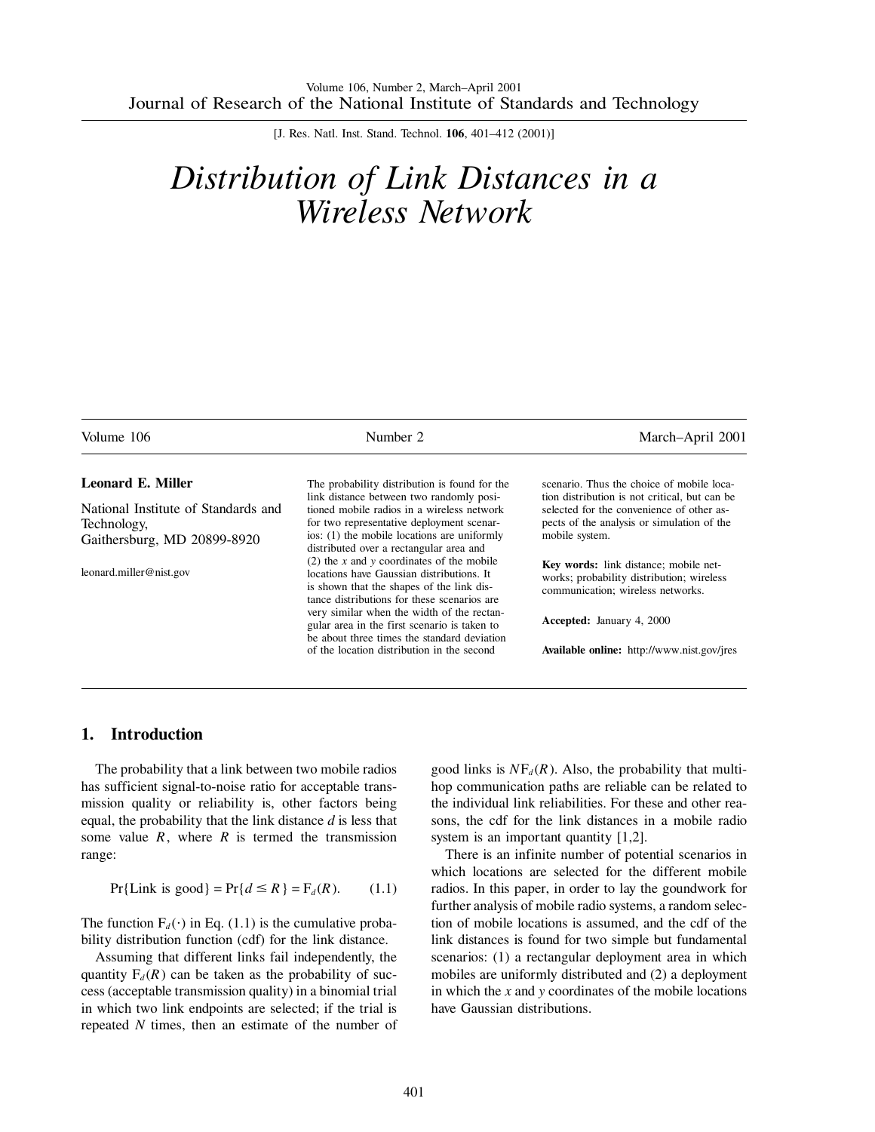[J. Res. Natl. Inst. Stand. Technol. **106**, 401–412 (2001)]

# *Distribution of Link Distances in a Wireless Network*

| Volume 106                          | Number 2                                                                                                                                  | March-April 2001                                                                                                        |  |
|-------------------------------------|-------------------------------------------------------------------------------------------------------------------------------------------|-------------------------------------------------------------------------------------------------------------------------|--|
| <b>Leonard E. Miller</b>            | The probability distribution is found for the                                                                                             | scenario. Thus the choice of mobile loca-                                                                               |  |
| National Institute of Standards and | link distance between two randomly posi-<br>tioned mobile radios in a wireless network                                                    | tion distribution is not critical, but can be<br>selected for the convenience of other as-                              |  |
| Technology,                         | for two representative deployment scenar-                                                                                                 | pects of the analysis or simulation of the                                                                              |  |
| Gaithersburg, MD 20899-8920         | ios: (1) the mobile locations are uniformly                                                                                               | mobile system.                                                                                                          |  |
|                                     | distributed over a rectangular area and<br>(2) the x and y coordinates of the mobile                                                      |                                                                                                                         |  |
| leonard.miller@nist.gov             | locations have Gaussian distributions. It<br>is shown that the shapes of the link dis-<br>tance distributions for these scenarios are     | Key words: link distance; mobile net-<br>works; probability distribution; wireless<br>communication; wireless networks. |  |
|                                     | very similar when the width of the rectan-<br>gular area in the first scenario is taken to<br>be about three times the standard deviation | Accepted: January 4, 2000                                                                                               |  |
|                                     | of the location distribution in the second                                                                                                | <b>Available online:</b> http://www.nist.gov/jres                                                                       |  |

# **1. Introduction**

The probability that a link between two mobile radios has sufficient signal-to-noise ratio for acceptable transmission quality or reliability is, other factors being equal, the probability that the link distance *d* is less that some value  $R$ , where  $R$  is termed the transmission range:

$$
Pr{Link is good} = Pr{d \le R} = F_d(R). \qquad (1.1)
$$

The function  $F_d(\cdot)$  in Eq. (1.1) is the cumulative probability distribution function (cdf) for the link distance.

Assuming that different links fail independently, the quantity  $F_d(R)$  can be taken as the probability of success (acceptable transmission quality) in a binomial trial in which two link endpoints are selected; if the trial is repeated *N* times, then an estimate of the number of good links is  $NF_d(R)$ . Also, the probability that multihop communication paths are reliable can be related to the individual link reliabilities. For these and other reasons, the cdf for the link distances in a mobile radio system is an important quantity [1,2].

There is an infinite number of potential scenarios in which locations are selected for the different mobile radios. In this paper, in order to lay the goundwork for further analysis of mobile radio systems, a random selection of mobile locations is assumed, and the cdf of the link distances is found for two simple but fundamental scenarios: (1) a rectangular deployment area in which mobiles are uniformly distributed and (2) a deployment in which the *x* and *y* coordinates of the mobile locations have Gaussian distributions.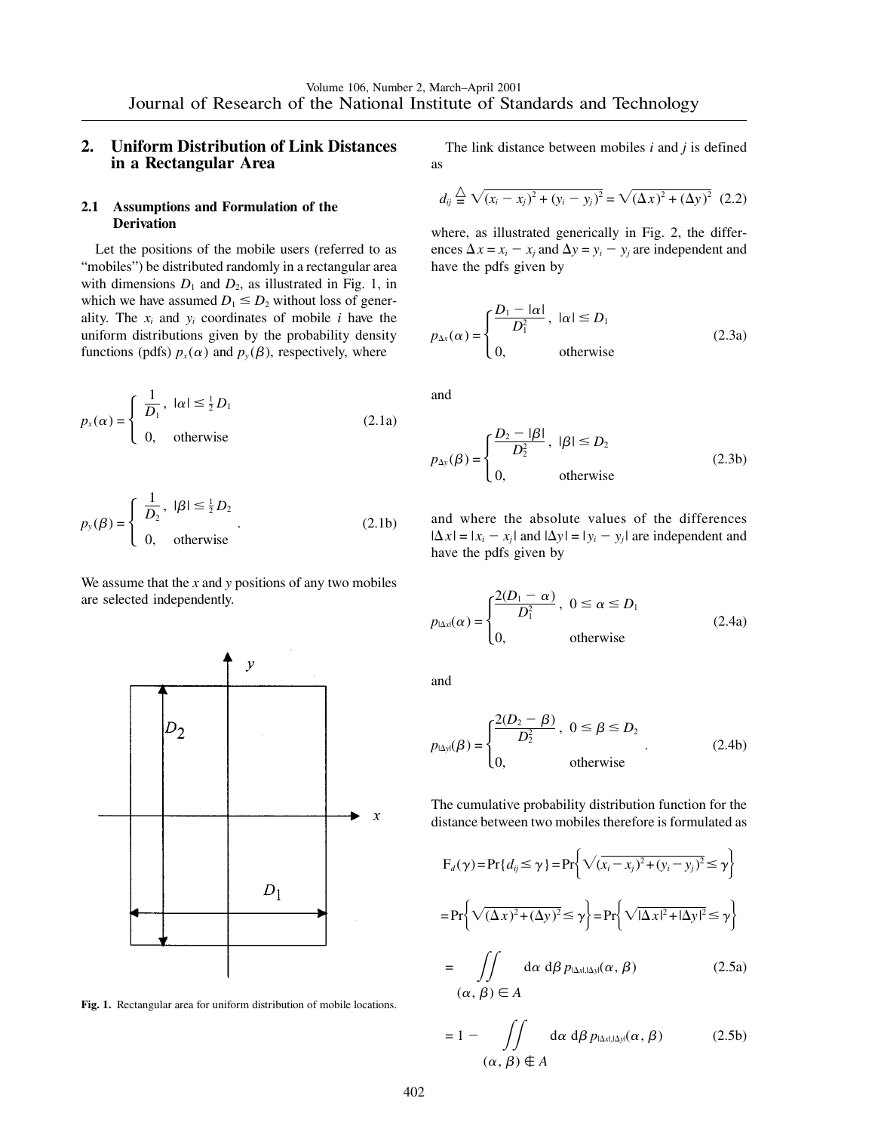# **2. Uniform Distribution of Link Distances in a Rectangular Area**

## **2.1 Assumptions and Formulation of the Derivation**

Let the positions of the mobile users (referred to as "mobiles") be distributed randomly in a rectangular area with dimensions  $D_1$  and  $D_2$ , as illustrated in Fig. 1, in which we have assumed  $D_1 \leq D_2$  without loss of generality. The  $x_i$  and  $y_i$  coordinates of mobile  $i$  have the uniform distributions given by the probability density functions (pdfs)  $p_x(\alpha)$  and  $p_y(\beta)$ , respectively, where

$$
p_x(\alpha) = \begin{cases} \frac{1}{D_1}, & |\alpha| \le \frac{1}{2} D_1 \\ 0, & \text{otherwise} \end{cases}
$$
 (2.1a)

$$
p_{y}(\beta) = \begin{cases} \frac{1}{D_2}, & |\beta| \le \frac{1}{2}D_2 \\ 0, & \text{otherwise} \end{cases}
$$
 (2.1b)

We assume that the *x* and *y* positions of any two mobiles are selected independently.



**Fig. 1.** Rectangular area for uniform distribution of mobile locations.

The link distance between mobiles *i* and *j* is defined as

$$
d_{ij} \stackrel{\triangle}{=} \sqrt{(x_i - x_j)^2 + (y_i - y_j)^2} = \sqrt{(\Delta x)^2 + (\Delta y)^2} \tag{2.2}
$$

where, as illustrated generically in Fig. 2, the differences  $\Delta x = x_i - x_j$  and  $\Delta y = y_i - y_j$  are independent and have the pdfs given by

$$
p_{\Delta x}(\alpha) = \begin{cases} \frac{D_1 - |\alpha|}{D_1^2}, & |\alpha| \le D_1 \\ 0, & \text{otherwise} \end{cases}
$$
 (2.3a)

and

$$
p_{\Delta y}(\beta) = \begin{cases} \frac{D_2 - |\beta|}{D_2^2}, & |\beta| \le D_2 \\ 0, & \text{otherwise} \end{cases}
$$
 (2.3b)

and where the absolute values of the differences  $|\Delta x| = |x_i - x_j|$  and  $|\Delta y| = |y_i - y_j|$  are independent and have the pdfs given by

$$
p_{\text{lat}}(\alpha) = \begin{cases} \frac{2(D_1 - \alpha)}{D_1^2}, & 0 \le \alpha \le D_1 \\ 0, & \text{otherwise} \end{cases}
$$
 (2.4a)

and

$$
p_{\text{IAy}}(\beta) = \begin{cases} \frac{2(D_2 - \beta)}{D_2^2}, & 0 \le \beta \le D_2 \\ 0, & \text{otherwise} \end{cases}
$$
 (2.4b)

The cumulative probability distribution function for the distance between two mobiles therefore is formulated as

$$
F_d(\gamma) = Pr\{d_{ij} \le \gamma\} = Pr\{\sqrt{(x_i - x_j)^2 + (y_i - y_j)^2} \le \gamma\}
$$
  

$$
= Pr\{\sqrt{(\Delta x)^2 + (\Delta y)^2} \le \gamma\} = Pr\{\sqrt{(\Delta x)^2 + (\Delta y)^2} \le \gamma\}
$$
  

$$
= \iint d\alpha \ d\beta \ p_{|\Delta x|, |\Delta y|}(\alpha, \beta) \qquad (2.5a)
$$
  

$$
(\alpha, \beta) \in A
$$

$$
= 1 - \iint\limits_{(\alpha, \beta) \in A} d\alpha \, d\beta \, p_{\text{|\Delta x|, |\Delta y|}}(\alpha, \beta) \tag{2.5b}
$$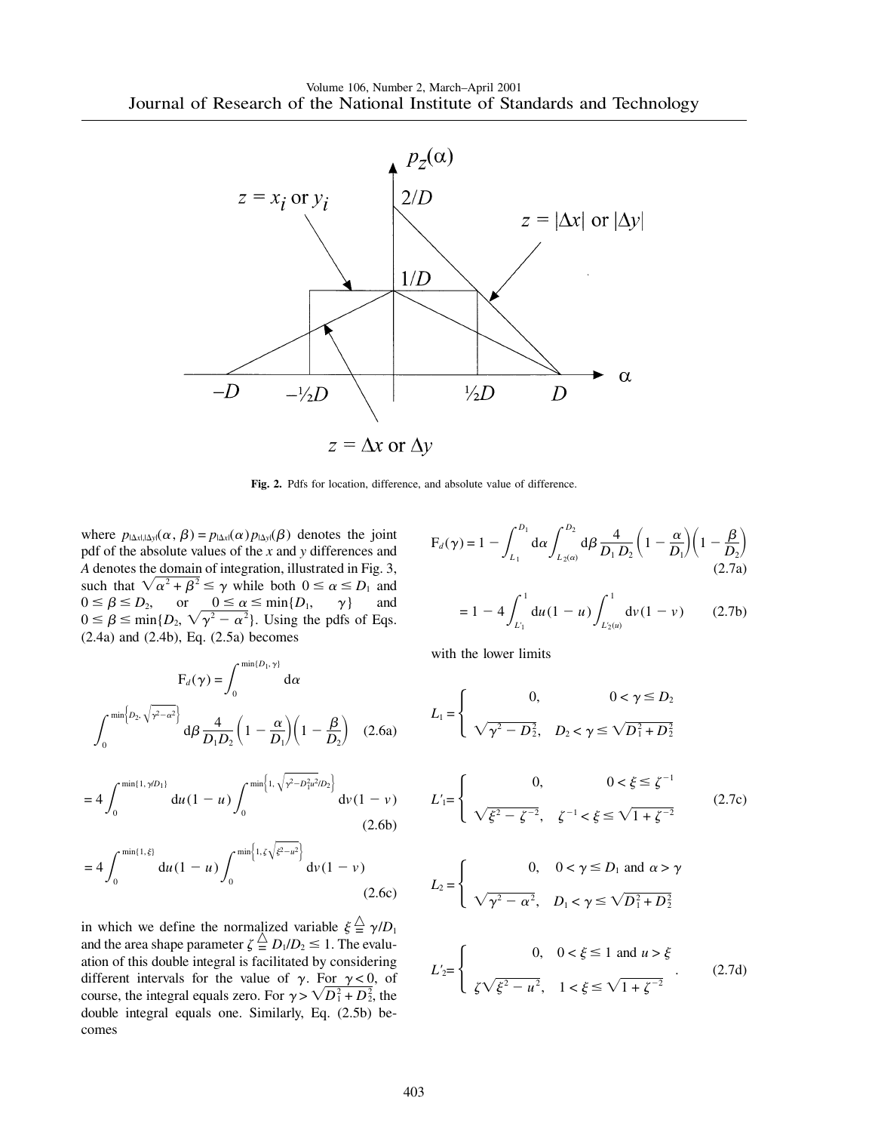

**Fig. 2.** Pdfs for location, difference, and absolute value of difference.

where  $p_{|\Delta x|, |\Delta y|}(\alpha, \beta) = p_{|\Delta x|}(\alpha) p_{|\Delta y|}(\beta)$  denotes the joint pdf of the absolute values of the *x* and *y* differences and *A* denotes the domain of integration, illustrated in Fig. 3, such that  $\sqrt{\alpha^2 + \beta^2} \le \gamma$  while both  $0 \le \alpha \le D_1$  and  $0 \le \beta \le D_2$ , or  $0 \le \alpha \le \min\{D_1, \gamma\}$  and  $0 \le \beta \le \min\{D_2, \sqrt{\gamma^2 - \alpha^2}\}\.$  Using the pdfs of Eqs. (2.4a) and (2.4b), Eq. (2.5a) becomes

$$
F_d(\gamma) = \int_0^{\min\{D_1, \gamma\}} d\alpha
$$

$$
\int_0^{\min\{D_2, \sqrt{\gamma^2 - \alpha^2}\}} d\beta \frac{4}{D_1 D_2} \left(1 - \frac{\alpha}{D_1}\right) \left(1 - \frac{\beta}{D_2}\right) (2.6a)
$$

$$
=4\int_0^{\min\{1,\,\gamma/D_1\}}\mathrm{d}u(1-u)\int_0^{\min\{1,\sqrt{\gamma^2-D_1^2u^2/D_2}\}}\mathrm{d}v(1-v)\tag{2.6b}
$$

$$
=4\int_0^{\min\{1,\xi\}}\mathrm{d}u(1-u)\int_0^{\min\{1,\zeta\sqrt{\xi^2-u^2}\}}\mathrm{d}\nu(1-\nu)\tag{2.6c}
$$

in which we define the normalized variable  $\xi \stackrel{\triangle}{=} \gamma/D_1$ and the area shape parameter  $\zeta \stackrel{\triangle}{=} D_1/D_2 \leq 1$ . The evaluation of this double integral is facilitated by considering different intervals for the value of  $\gamma$ . For  $\gamma < 0$ , of course, the integral equals zero. For  $\gamma > \sqrt{D_1^2 + D_2^2}$ , the double integral equals one. Similarly, Eq. (2.5b) becomes

$$
F_d(\gamma) = 1 - \int_{L_1}^{D_1} d\alpha \int_{L_2(\alpha)}^{D_2} d\beta \frac{4}{D_1 D_2} \left(1 - \frac{\alpha}{D_1}\right) \left(1 - \frac{\beta}{D_2}\right)
$$
(2.7a)

$$
= 1 - 4 \int_{L'_1}^1 du (1 - u) \int_{L'_2(u)}^1 dv (1 - v) \qquad (2.7b)
$$

with the lower limits

$$
L_{1} = \begin{cases} 0, & 0 < \gamma \leq D_{2} \\ \sqrt{\gamma^{2} - D_{2}^{2}}, & D_{2} < \gamma \leq \sqrt{D_{1}^{2} + D_{2}^{2}} \end{cases}
$$
  
\n
$$
L'_{1} = \begin{cases} 0, & 0 < \xi \leq \zeta^{-1} \\ \sqrt{\xi^{2} - \zeta^{-2}}, & \zeta^{-1} < \xi \leq \sqrt{1 + \zeta^{-2}} \end{cases}
$$
 (2.7c)  
\n
$$
\begin{cases} 0, & 0 < \gamma \leq D_{1} \text{ and } \alpha > \gamma \end{cases}
$$

$$
L_2 = \begin{cases} 0, & 0 < \gamma \le D_1 \text{ and } \alpha > \gamma \\ \sqrt{\gamma^2 - \alpha^2}, & D_1 < \gamma \le \sqrt{D_1^2 + D_2^2} \end{cases}
$$

$$
L'_{2} = \begin{cases} 0, & 0 < \xi \le 1 \text{ and } u > \xi \\ \zeta \sqrt{\xi^2 - u^2}, & 1 < \xi \le \sqrt{1 + \zeta^{-2}} \end{cases}
$$
 (2.7d)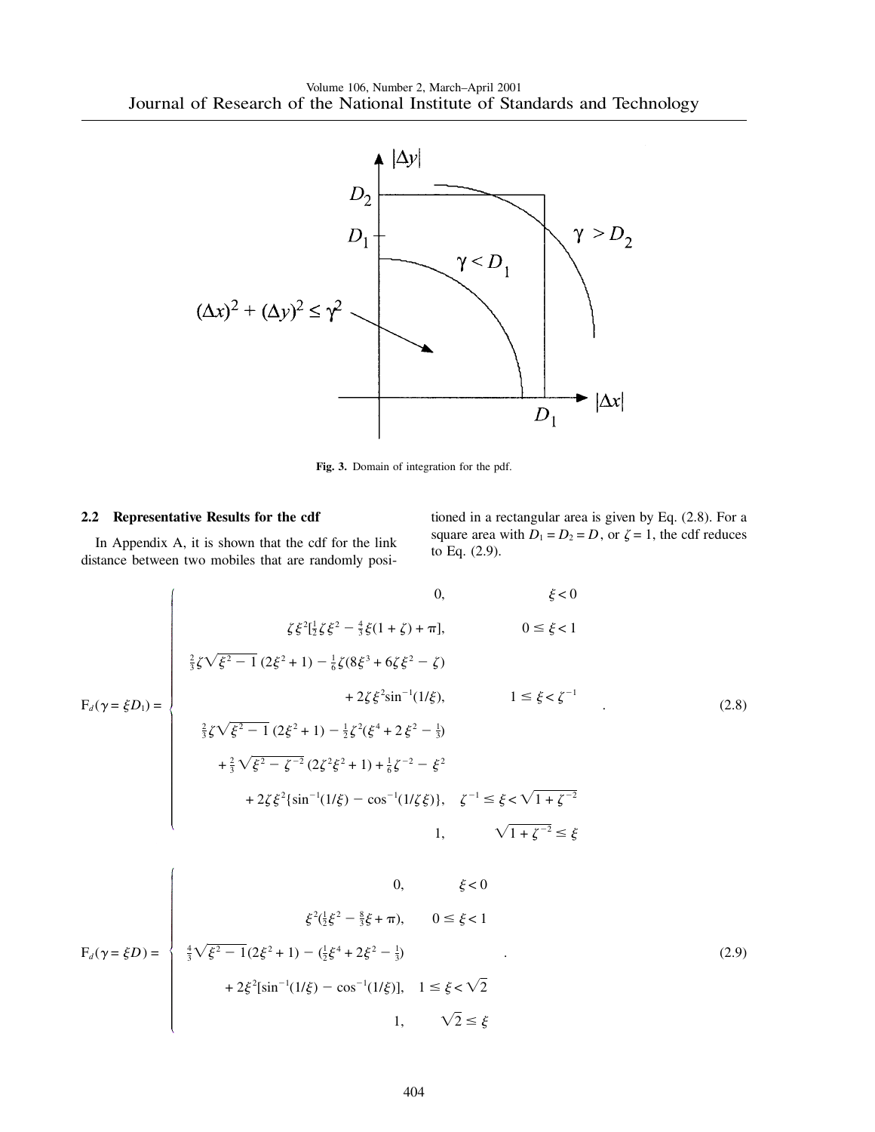

**Fig. 3.** Domain of integration for the pdf.

#### **2.2 Representative Results for the cdf**

In Appendix A, it is shown that the cdf for the link distance between two mobiles that are randomly positioned in a rectangular area is given by Eq. (2.8). For a square area with  $D_1 = D_2 = D$ , or  $\zeta = 1$ , the cdf reduces to Eq. (2.9).

$$
F_d(\gamma = \xi D_1) = \begin{cases} 0, & \xi < 0 \\ \frac{2}{3}\zeta\sqrt{\xi^2 - 1} (2\xi^2 + 1) - \frac{1}{6}\zeta(8\xi^3 + 6\zeta\xi^2 - \zeta) \\ + 2\zeta\xi^2 \sin^{-1}(1/\xi), & 1 \le \xi < \zeta^{-1} \\ \frac{2}{3}\zeta\sqrt{\xi^2 - 1} (2\xi^2 + 1) - \frac{1}{2}\zeta^2(\xi^4 + 2\xi^2 - \frac{1}{3}) \\ + \frac{2}{3}\sqrt{\xi^2 - \zeta^{-2}} (2\zeta^2\xi^2 + 1) + \frac{1}{6}\zeta^{-2} - \xi^2 \\ + 2\zeta\xi^2 \{\sin^{-1}(1/\xi) - \cos^{-1}(1/\zeta\xi)\}, & \zeta^{-1} \le \xi < \sqrt{1 + \zeta^{-2}} \\ 1, & \sqrt{1 + \zeta^{-2}} \le \xi \end{cases}
$$
(2.8)

$$
F_d(\gamma = \xi D) = \begin{cases} 0, & \xi < 0 \\ \xi^2(\frac{1}{2}\xi^2 - \frac{8}{3}\xi + \pi), & 0 \le \xi < 1 \\ \frac{4}{3}\sqrt{\xi^2 - 1}(2\xi^2 + 1) - (\frac{1}{2}\xi^4 + 2\xi^2 - \frac{1}{3}) \\ + 2\xi^2[\sin^{-1}(1/\xi) - \cos^{-1}(1/\xi)], & 1 \le \xi < \sqrt{2} \\ 1, & \sqrt{2} \le \xi \end{cases}
$$
(2.9)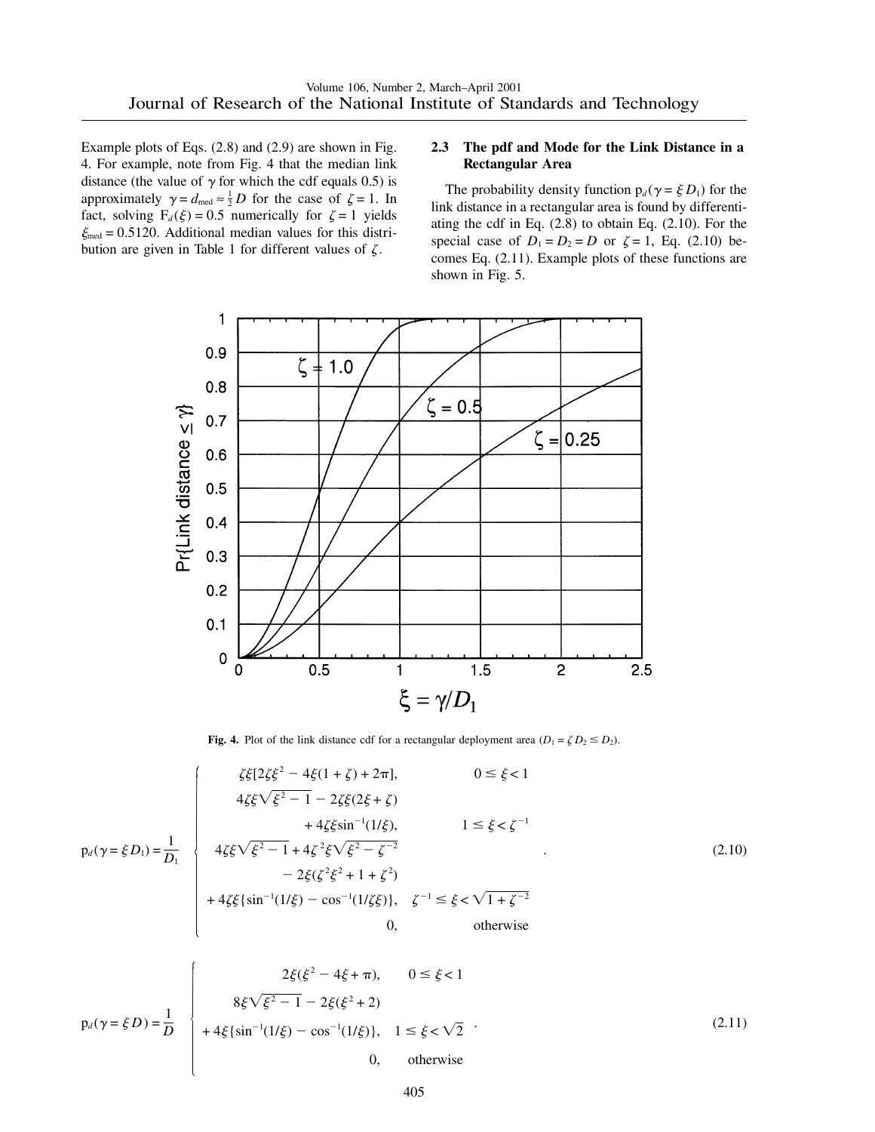Example plots of Eqs. (2.8) and (2.9) are shown in Fig. 4. For example, note from Fig. 4 that the median link distance (the value of  $\gamma$  for which the cdf equals 0.5) is approximately  $\gamma = d_{\text{med}} \approx \frac{1}{2} D$  for the case of  $\zeta = 1$ . In fact, solving  $F_d(\xi) = 0.5$  numerically for  $\zeta = 1$  yields  $\xi_{\text{med}} = 0.5120$ . Additional median values for this distribution are given in Table 1 for different values of  $\zeta$ .

## **2.3 The pdf and Mode for the Link Distance in a Rectangular Area**

The probability density function  $p_d(\gamma = \xi D_1)$  for the link distance in a rectangular area is found by differentiating the cdf in Eq. (2.8) to obtain Eq. (2.10). For the special case of  $D_1 = D_2 = D$  or  $\zeta = 1$ , Eq. (2.10) becomes Eq. (2.11). Example plots of these functions are shown in Fig. 5.





$$
p_d(\gamma = \xi D_1) = \frac{1}{D_1} \begin{cases} \zeta \xi [2\zeta \xi^2 - 4\xi (1 + \zeta) + 2\pi], & 0 \le \xi < 1 \\ 4\zeta \xi \sqrt{\xi^2 - 1} - 2\zeta \xi (2\xi + \zeta) \\ + 4\zeta \xi \sin^{-1}(1/\xi), & 1 \le \xi < \zeta^{-1} \\ 4\zeta \xi \sqrt{\xi^2 - 1} + 4\zeta^2 \xi \sqrt{\xi^2 - \zeta^{-2}} \\ - 2\xi (\zeta^2 \xi^2 + 1 + \zeta^2) \\ + 4\zeta \xi \{\sin^{-1}(1/\xi) - \cos^{-1}(1/\zeta \xi)\}, & \zeta^{-1} \le \xi < \sqrt{1 + \zeta^{-2}} \\ 0, & \text{otherwise} \end{cases}
$$
(2.10)

$$
p_d(\gamma = \xi D) = \frac{1}{D} \begin{cases} 2\xi(\xi^2 - 4\xi + \pi), & 0 \le \xi < 1 \\ 8\xi\sqrt{\xi^2 - 1} - 2\xi(\xi^2 + 2) \\ + 4\xi\{\sin^{-1}(1/\xi) - \cos^{-1}(1/\xi)\}, & 1 \le \xi < \sqrt{2} \\ 0, & \text{otherwise} \end{cases}
$$
(2.11)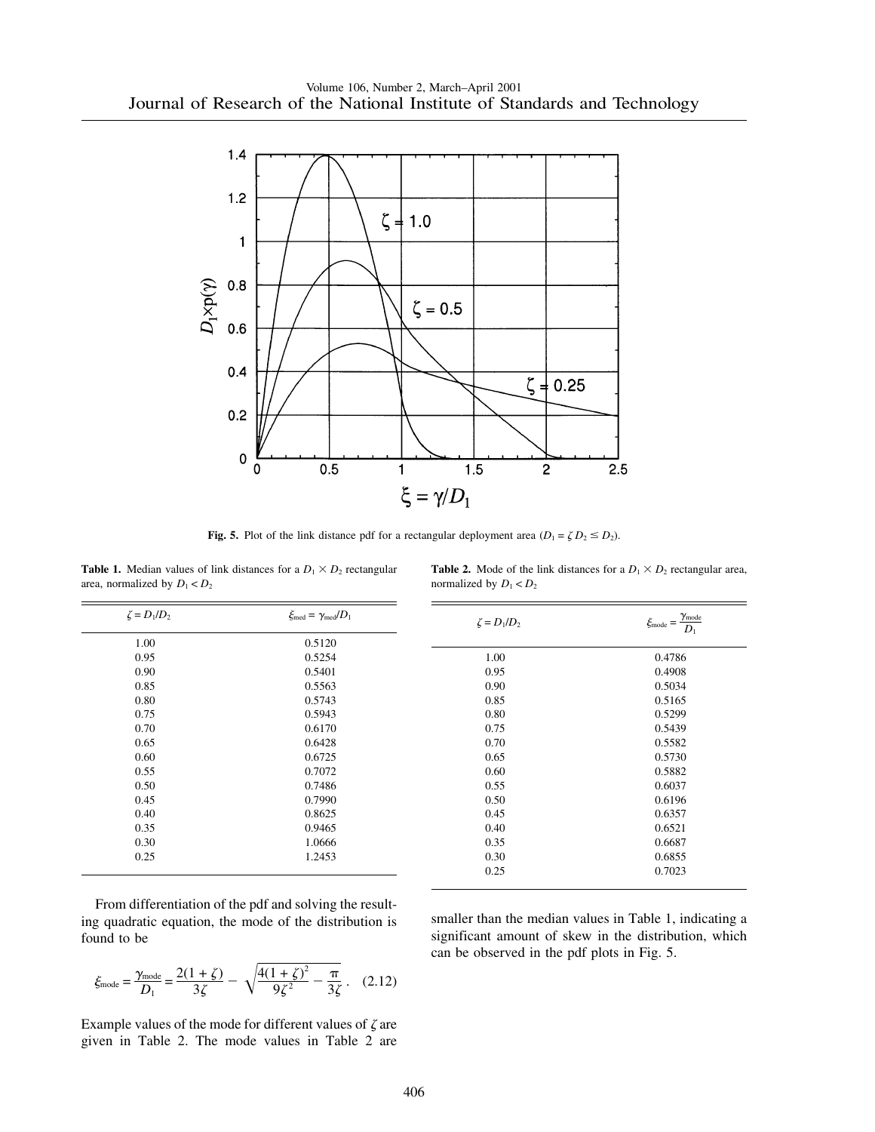

**Fig. 5.** Plot of the link distance pdf for a rectangular deployment area  $(D_1 = \zeta D_2 \leq D_2)$ .

**Table 1.** Median values of link distances for a  $D_1 \times D_2$  rectangular area, normalized by  $D_1 < D_2$ 

|                           | <b>Table 2.</b> Mode of the link distances for a $D_1 \times D_2$ rectangular area, |  |  |
|---------------------------|-------------------------------------------------------------------------------------|--|--|
| normalized by $D_1 < D_2$ |                                                                                     |  |  |

| $\zeta = D_1/D_2$ | $\xi_{\text{med}} = \gamma_{\text{med}} / D_1$ | $\zeta = D_1/D_2$ | $\xi_{\rm mode} = \frac{\gamma_{\rm mode}}{4}$<br>$D_1$ |  |
|-------------------|------------------------------------------------|-------------------|---------------------------------------------------------|--|
| 1.00              | 0.5120                                         |                   |                                                         |  |
| 0.95              | 0.5254                                         | 1.00              | 0.4786                                                  |  |
| 0.90              | 0.5401                                         | 0.95              | 0.4908                                                  |  |
| 0.85              | 0.5563                                         | 0.90              | 0.5034                                                  |  |
| 0.80              | 0.5743                                         | 0.85              | 0.5165                                                  |  |
| 0.75              | 0.5943                                         | 0.80              | 0.5299                                                  |  |
| 0.70              | 0.6170                                         | 0.75              | 0.5439                                                  |  |
| 0.65              | 0.6428                                         | 0.70              | 0.5582                                                  |  |
| 0.60              | 0.6725                                         | 0.65              | 0.5730                                                  |  |
| 0.55              | 0.7072                                         | 0.60              | 0.5882                                                  |  |
| 0.50              | 0.7486                                         | 0.55              | 0.6037                                                  |  |
| 0.45              | 0.7990                                         | 0.50              | 0.6196                                                  |  |
| 0.40              | 0.8625                                         | 0.45              | 0.6357                                                  |  |
| 0.35              | 0.9465                                         | 0.40              | 0.6521                                                  |  |
| 0.30              | 1.0666                                         | 0.35              | 0.6687                                                  |  |
| 0.25              | 1.2453                                         | 0.30              | 0.6855                                                  |  |
|                   |                                                | 0.25              | 0.7023                                                  |  |
|                   |                                                |                   |                                                         |  |

From differentiation of the pdf and solving the resulting quadratic equation, the mode of the distribution is found to be

$$
\xi_{\text{mode}} = \frac{\gamma_{\text{mode}}}{D_1} = \frac{2(1+\zeta)}{3\zeta} - \sqrt{\frac{4(1+\zeta)^2}{9\zeta^2} - \frac{\pi}{3\zeta}}. \quad (2.12)
$$

Example values of the mode for different values of  $\zeta$  are given in Table 2. The mode values in Table 2 are

smaller than the median values in Table 1, indicating a significant amount of skew in the distribution, which can be observed in the pdf plots in Fig. 5.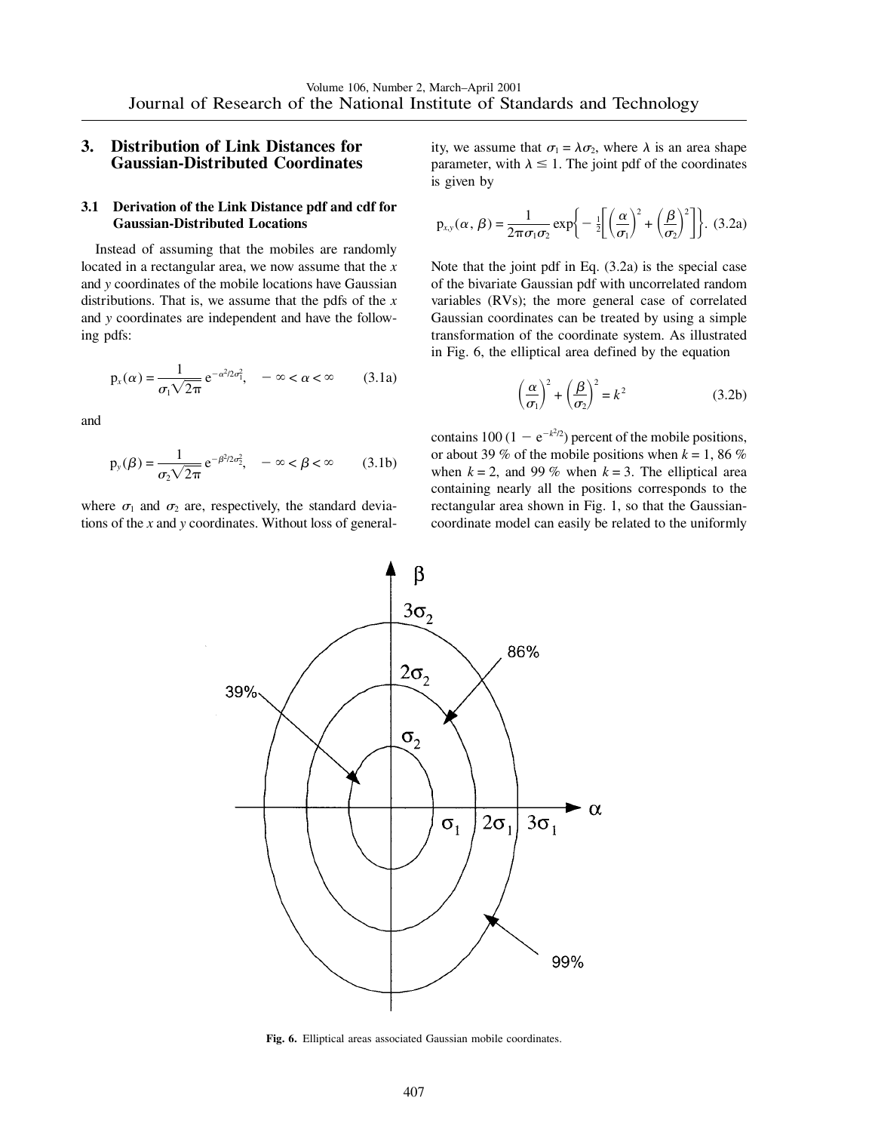## **3. Distribution of Link Distances for Gaussian-Distributed Coordinates**

## **3.1 Derivation of the Link Distance pdf and cdf for Gaussian-Distributed Locations**

Instead of assuming that the mobiles are randomly located in a rectangular area, we now assume that the *x* and *y* coordinates of the mobile locations have Gaussian distributions. That is, we assume that the pdfs of the *x* and *y* coordinates are independent and have the following pdfs:

$$
p_x(\alpha) = \frac{1}{\sigma_1 \sqrt{2\pi}} e^{-\alpha^2/2\sigma_1^2}, \quad -\infty < \alpha < \infty \tag{3.1a}
$$

and

$$
p_{y}(\beta) = \frac{1}{\sigma_2 \sqrt{2\pi}} e^{-\beta^2/2\sigma_2^2}, \quad -\infty < \beta < \infty \quad (3.1b)
$$

where  $\sigma_1$  and  $\sigma_2$  are, respectively, the standard deviations of the *x* and *y* coordinates. Without loss of generality, we assume that  $\sigma_1 = \lambda \sigma_2$ , where  $\lambda$  is an area shape parameter, with  $\lambda \leq 1$ . The joint pdf of the coordinates is given by

$$
p_{x,y}(\alpha,\beta) = \frac{1}{2\pi\sigma_1\sigma_2} \exp\bigg\{-\frac{1}{2}\bigg[\bigg(\frac{\alpha}{\sigma_1}\bigg)^2 + \bigg(\frac{\beta}{\sigma_2}\bigg)^2\bigg]\bigg\}. \tag{3.2a}
$$

Note that the joint pdf in Eq. (3.2a) is the special case of the bivariate Gaussian pdf with uncorrelated random variables (RVs); the more general case of correlated Gaussian coordinates can be treated by using a simple transformation of the coordinate system. As illustrated in Fig. 6, the elliptical area defined by the equation

$$
\left(\frac{\alpha}{\sigma_1}\right)^2 + \left(\frac{\beta}{\sigma_2}\right)^2 = k^2
$$
 (3.2b)

contains 100 (1  $-e^{-k^2/2}$ ) percent of the mobile positions, or about 39 % of the mobile positions when  $k = 1, 86 \%$ when  $k = 2$ , and 99 % when  $k = 3$ . The elliptical area containing nearly all the positions corresponds to the rectangular area shown in Fig. 1, so that the Gaussiancoordinate model can easily be related to the uniformly



**Fig. 6.** Elliptical areas associated Gaussian mobile coordinates.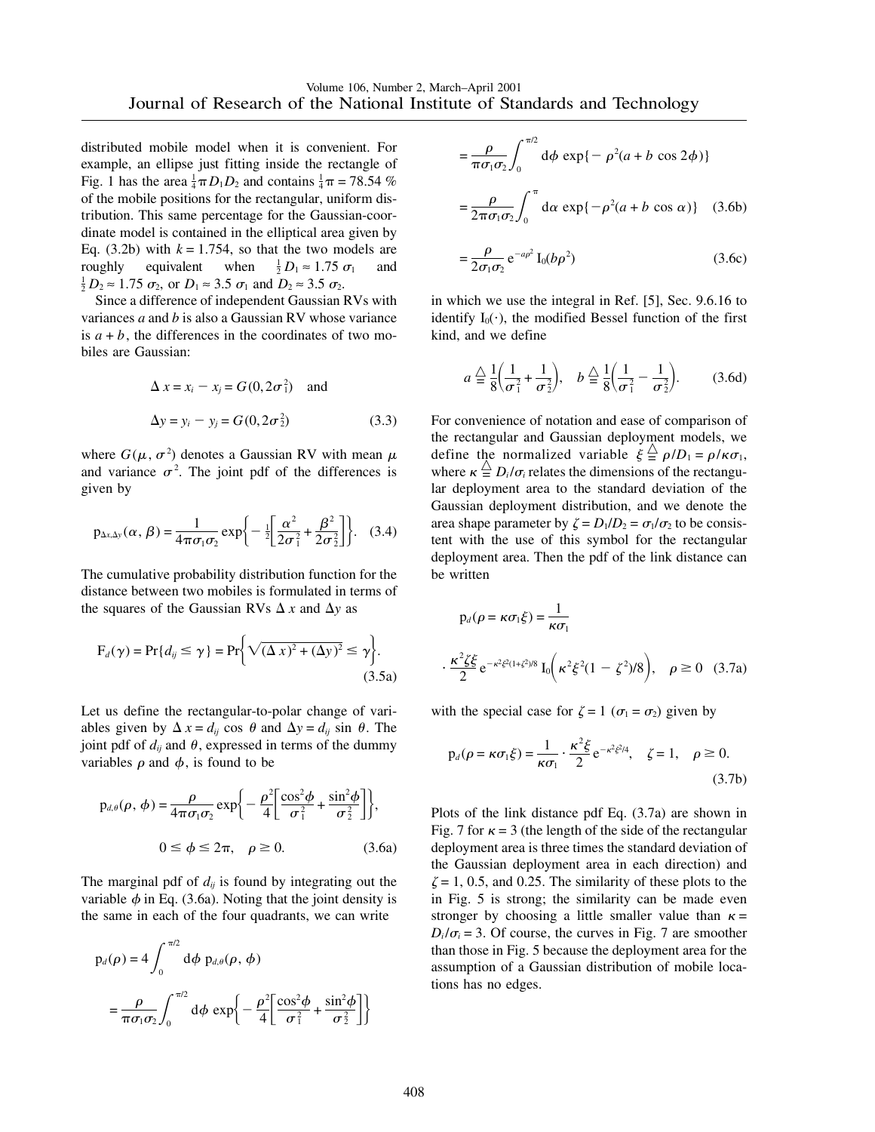distributed mobile model when it is convenient. For example, an ellipse just fitting inside the rectangle of Fig. 1 has the area  $\frac{1}{4}\pi D_1 D_2$  and contains  $\frac{1}{4}\pi = 78.54$  % of the mobile positions for the rectangular, uniform distribution. This same percentage for the Gaussian-coordinate model is contained in the elliptical area given by Eq.  $(3.2b)$  with  $k = 1.754$ , so that the two models are roughly equivalent when  $\frac{1}{2}D_1 \approx 1.75 \sigma_1$ roughly equivalent when  $\frac{1}{2}D_1 \approx 1.75 \sigma_1$  and  $\frac{1}{2}D_2 \approx 1.75 \sigma_2$ , or  $D_1 \approx 3.5 \sigma_1$  and  $D_2 \approx 3.5 \sigma_2$ .

Since a difference of independent Gaussian RVs with variances *a* and *b* is also a Gaussian RV whose variance is  $a + b$ , the differences in the coordinates of two mobiles are Gaussian:

$$
\Delta x = x_i - x_j = G(0, 2\sigma_1^2) \text{ and}
$$
  
\n
$$
\Delta y = y_i - y_j = G(0, 2\sigma_2^2)
$$
 (3.3)

where  $G(\mu, \sigma^2)$  denotes a Gaussian RV with mean  $\mu$ and variance  $\sigma^2$ . The joint pdf of the differences is given by

$$
p_{\Delta x, \Delta y}(\alpha, \beta) = \frac{1}{4\pi \sigma_1 \sigma_2} \exp \left\{-\frac{1}{2} \left[ \frac{\alpha^2}{2\sigma_1^2} + \frac{\beta^2}{2\sigma_2^2} \right] \right\}. (3.4)
$$

The cumulative probability distribution function for the distance between two mobiles is formulated in terms of the squares of the Gaussian RVs  $\Delta x$  and  $\Delta y$  as

$$
F_d(\gamma) = Pr\{d_{ij} \le \gamma\} = Pr\bigg\{\sqrt{(\Delta x)^2 + (\Delta y)^2} \le \gamma\bigg\}.
$$
\n(3.5a)

Let us define the rectangular-to-polar change of variables given by  $\Delta x = d_{ij} \cos \theta$  and  $\Delta y = d_{ij} \sin \theta$ . The joint pdf of  $d_{ij}$  and  $\theta$ , expressed in terms of the dummy variables  $\rho$  and  $\phi$ , is found to be

$$
p_{d,\theta}(\rho,\,\phi) = \frac{\rho}{4\pi\sigma_1\sigma_2} \exp\bigg\{-\frac{\rho^2}{4} \bigg[ \frac{\cos^2\phi}{\sigma_1^2} + \frac{\sin^2\phi}{\sigma_2^2} \bigg] \bigg\},
$$
  

$$
0 \le \phi \le 2\pi, \quad \rho \ge 0.
$$
 (3.6a)

The marginal pdf of  $d_{ij}$  is found by integrating out the variable  $\phi$  in Eq. (3.6a). Noting that the joint density is the same in each of the four quadrants, we can write

$$
p_d(\rho) = 4 \int_0^{\pi/2} d\phi \ p_{d,\theta}(\rho, \phi)
$$
  
= 
$$
\frac{\rho}{\pi \sigma_1 \sigma_2} \int_0^{\pi/2} d\phi \ \exp \left\{ -\frac{\rho^2}{4} \left[ \frac{\cos^2 \phi}{\sigma_1^2} + \frac{\sin^2 \phi}{\sigma_2^2} \right] \right\}
$$

$$
= \frac{\rho}{\pi \sigma_1 \sigma_2} \int_0^{\pi/2} d\phi \exp\{-\rho^2 (a+b \cos 2\phi)\}\
$$

$$
= \frac{\rho}{2\pi \sigma_1 \sigma_2} \int_0^{\pi} d\alpha \exp\{-\rho^2 (a+b \cos \alpha)\} \quad (3.6b)
$$

$$
=\frac{\rho}{2\sigma_1\sigma_2}e^{-a\rho^2}I_0(b\rho^2)
$$
 (3.6c)

in which we use the integral in Ref. [5], Sec. 9.6.16 to identify  $I_0(\cdot)$ , the modified Bessel function of the first kind, and we define

$$
a \stackrel{\triangle}{=} \frac{1}{8} \left( \frac{1}{\sigma_1^2} + \frac{1}{\sigma_2^2} \right), \quad b \stackrel{\triangle}{=} \frac{1}{8} \left( \frac{1}{\sigma_1^2} - \frac{1}{\sigma_2^2} \right). \tag{3.6d}
$$

For convenience of notation and ease of comparison of the rectangular and Gaussian deployment models, we define the normalized variable  $\xi \stackrel{\triangle}{=} \rho/D_1 = \rho/\kappa\sigma_1$ , where  $\kappa \stackrel{\triangle}{=} D_i / \sigma_i$  relates the dimensions of the rectangular deployment area to the standard deviation of the Gaussian deployment distribution, and we denote the area shape parameter by  $\zeta = D_1/D_2 = \sigma_1/\sigma_2$  to be consistent with the use of this symbol for the rectangular deployment area. Then the pdf of the link distance can be written

$$
p_d(\rho = \kappa \sigma_1 \xi) = \frac{1}{\kappa \sigma_1}
$$
  
 
$$
\frac{\kappa^2 \zeta \xi}{2} e^{-\kappa^2 \xi^2 (1 + \xi^2)/8} I_0 \left( \kappa^2 \xi^2 (1 - \zeta^2)/8 \right), \quad \rho \ge 0 \quad (3.7a)
$$

with the special case for  $\zeta = 1$  ( $\sigma_1 = \sigma_2$ ) given by

$$
p_d(\rho = \kappa \sigma_1 \xi) = \frac{1}{\kappa \sigma_1} \cdot \frac{\kappa^2 \xi}{2} e^{-\kappa^2 \xi^2 / 4}, \quad \zeta = 1, \quad \rho \ge 0.
$$
\n(3.7b)

Plots of the link distance pdf Eq. (3.7a) are shown in Fig. 7 for  $\kappa = 3$  (the length of the side of the rectangular deployment area is three times the standard deviation of the Gaussian deployment area in each direction) and  $\zeta = 1, 0.5,$  and 0.25. The similarity of these plots to the in Fig. 5 is strong; the similarity can be made even stronger by choosing a little smaller value than  $\kappa =$  $D_i/\sigma_i = 3$ . Of course, the curves in Fig. 7 are smoother than those in Fig. 5 because the deployment area for the assumption of a Gaussian distribution of mobile locations has no edges.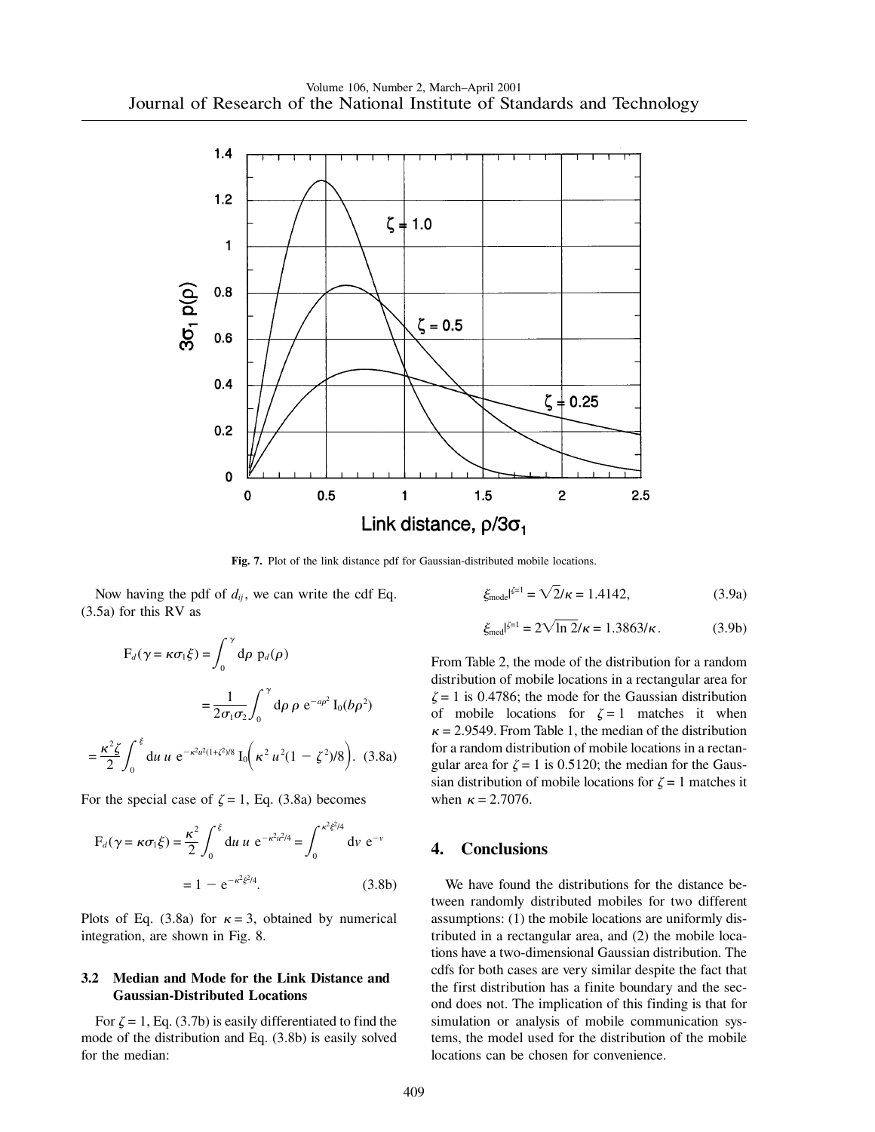

**Fig. 7.** Plot of the link distance pdf for Gaussian-distributed mobile locations.

Now having the pdf of  $d_{ij}$ , we can write the cdf Eq. (3.5a) for this RV as

$$
F_d(\gamma = \kappa \sigma_1 \xi) = \int_0^{\gamma} d\rho \ p_d(\rho)
$$
  
=  $\frac{1}{2\sigma_1 \sigma_2} \int_0^{\gamma} d\rho \ \rho \ e^{-a\rho^2} I_0(b\rho^2)$   
=  $\frac{\kappa^2 \xi}{2} \int_0^{\xi} du \ u \ e^{-\kappa^2 u^2(1+\xi^2)/8} I_0(\kappa^2 u^2(1-\xi^2)/8).$  (3.8a)

For the special case of  $\zeta = 1$ , Eq. (3.8a) becomes

$$
F_d(\gamma = \kappa \sigma_1 \xi) = \frac{\kappa^2}{2} \int_0^{\xi} du \, u \, e^{-\kappa^2 u^2 / 4} = \int_0^{\kappa^2 \xi^2 / 4} dv \, e^{-\nu}
$$

$$
= 1 - e^{-\kappa^2 \xi^2 / 4}.
$$
(3.8b)

Plots of Eq. (3.8a) for  $\kappa = 3$ , obtained by numerical integration, are shown in Fig. 8.

#### **3.2 Median and Mode for the Link Distance and Gaussian-Distributed Locations**

For  $\zeta = 1$ , Eq. (3.7b) is easily differentiated to find the mode of the distribution and Eq. (3.8b) is easily solved for the median:

$$
\xi_{\text{mode}}^{|\xi=1} = \sqrt{2}/\kappa = 1.4142,\tag{3.9a}
$$

$$
\xi_{\text{med}}|^{\xi=1} = 2\sqrt{\ln 2}/\kappa = 1.3863/\kappa. \tag{3.9b}
$$

From Table 2, the mode of the distribution for a random distribution of mobile locations in a rectangular area for  $\zeta = 1$  is 0.4786; the mode for the Gaussian distribution of mobile locations for  $\zeta = 1$  matches it when  $\kappa$  = 2.9549. From Table 1, the median of the distribution for a random distribution of mobile locations in a rectangular area for  $\zeta = 1$  is 0.5120; the median for the Gaussian distribution of mobile locations for  $\zeta = 1$  matches it when  $\kappa = 2.7076$ .

# **4. Conclusions**

We have found the distributions for the distance between randomly distributed mobiles for two different assumptions: (1) the mobile locations are uniformly distributed in a rectangular area, and (2) the mobile locations have a two-dimensional Gaussian distribution. The cdfs for both cases are very similar despite the fact that the first distribution has a finite boundary and the second does not. The implication of this finding is that for simulation or analysis of mobile communication systems, the model used for the distribution of the mobile locations can be chosen for convenience.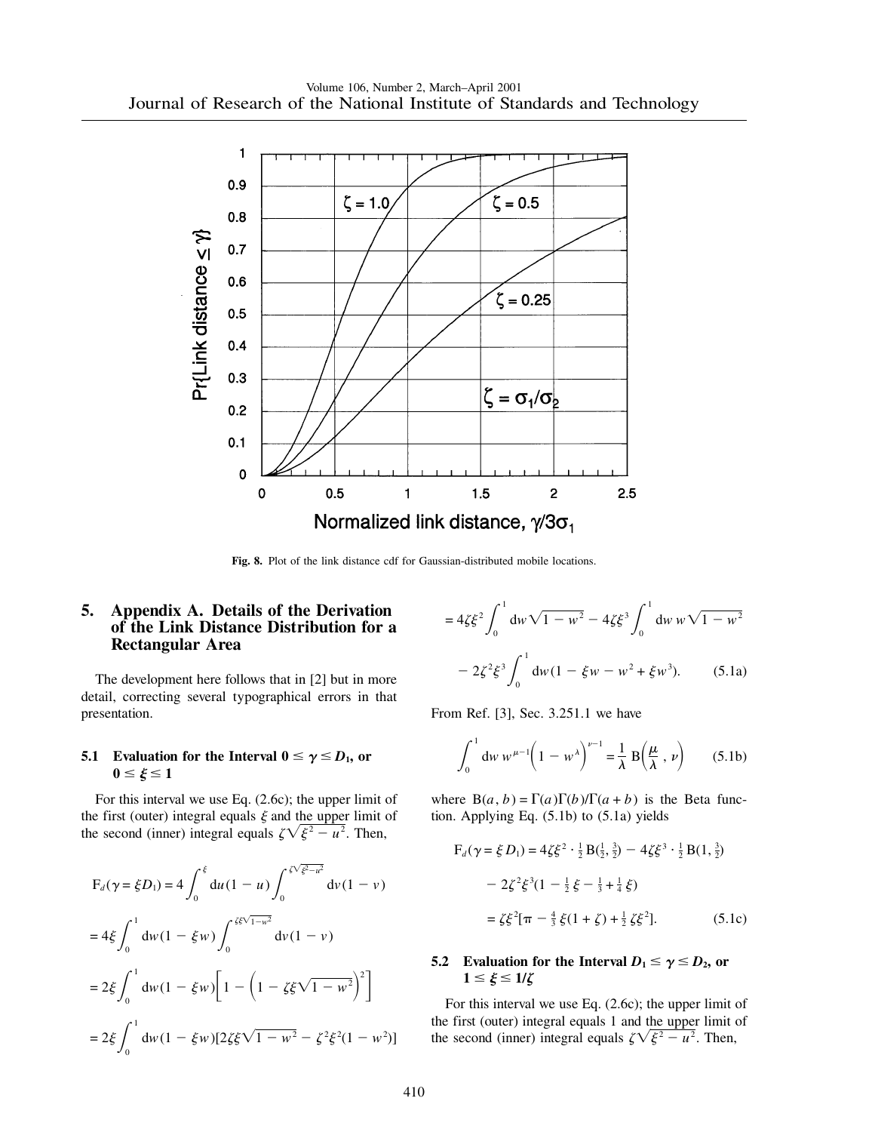

**Fig. 8.** Plot of the link distance cdf for Gaussian-distributed mobile locations.

# **5. Appendix A. Details of the Derivation of the Link Distance Distribution for a Rectangular Area**

The development here follows that in [2] but in more detail, correcting several typographical errors in that presentation.

## **5.1** Evaluation for the Interval  $0 \le \gamma \le D_1$ , or  $0 \leq \xi \leq 1$

For this interval we use Eq. (2.6c); the upper limit of the first (outer) integral equals  $\xi$  and the upper limit of the second (inner) integral equals  $\zeta \sqrt{\xi^2 - u^2}$ . Then,

$$
F_d(\gamma = \xi D_1) = 4 \int_0^{\xi} du (1 - u) \int_0^{\xi \sqrt{\xi^2 - u^2}} dv (1 - v)
$$
  
=  $4 \xi \int_0^1 dw (1 - \xi w) \int_0^{\xi \xi \sqrt{1 - w^2}} dv (1 - v)$   
=  $2 \xi \int_0^1 dw (1 - \xi w) \left[ 1 - \left( 1 - \xi \xi \sqrt{1 - w^2} \right)^2 \right]$   
=  $2 \xi \int_0^1 dw (1 - \xi w) [2 \xi \xi \sqrt{1 - w^2} - \xi^2 \xi^2 (1 - w^2)]$ 

$$
=4\zeta\xi^2 \int_0^1 dw \sqrt{1-w^2} - 4\zeta\xi^3 \int_0^1 dw \, w \sqrt{1-w^2}
$$

$$
-2\zeta^2\xi^3 \int_0^1 dw (1-\xi w - w^2 + \xi w^3). \qquad (5.1a)
$$

From Ref. [3], Sec. 3.251.1 we have

$$
\int_0^1 dw \, w^{\mu-1} \left( 1 - w^\lambda \right)^{\nu-1} = \frac{1}{\lambda} B \left( \frac{\mu}{\lambda}, \, \nu \right) \qquad (5.1b)
$$

where  $B(a, b) = \Gamma(a)\Gamma(b)/\Gamma(a+b)$  is the Beta function. Applying Eq. (5.1b) to (5.1a) yields

$$
F_d(\gamma = \xi D_1) = 4\zeta \xi^2 \cdot \frac{1}{2} B(\frac{1}{2}, \frac{3}{2}) - 4\zeta \xi^3 \cdot \frac{1}{2} B(1, \frac{3}{2})
$$
  

$$
- 2\zeta^2 \xi^3 (1 - \frac{1}{2} \xi - \frac{1}{3} + \frac{1}{4} \xi)
$$
  

$$
= \zeta \xi^2 [\pi - \frac{4}{3} \xi (1 + \zeta) + \frac{1}{2} \zeta \xi^2].
$$
 (5.1c)

## **5.2** Evaluation for the Interval  $D_1 \le \gamma \le D_2$ , or  $1 \leq \xi \leq 1/\zeta$

For this interval we use Eq. (2.6c); the upper limit of the first (outer) integral equals 1 and the upper limit of the second (inner) integral equals  $\zeta \sqrt{\xi^2 - u^2}$ . Then,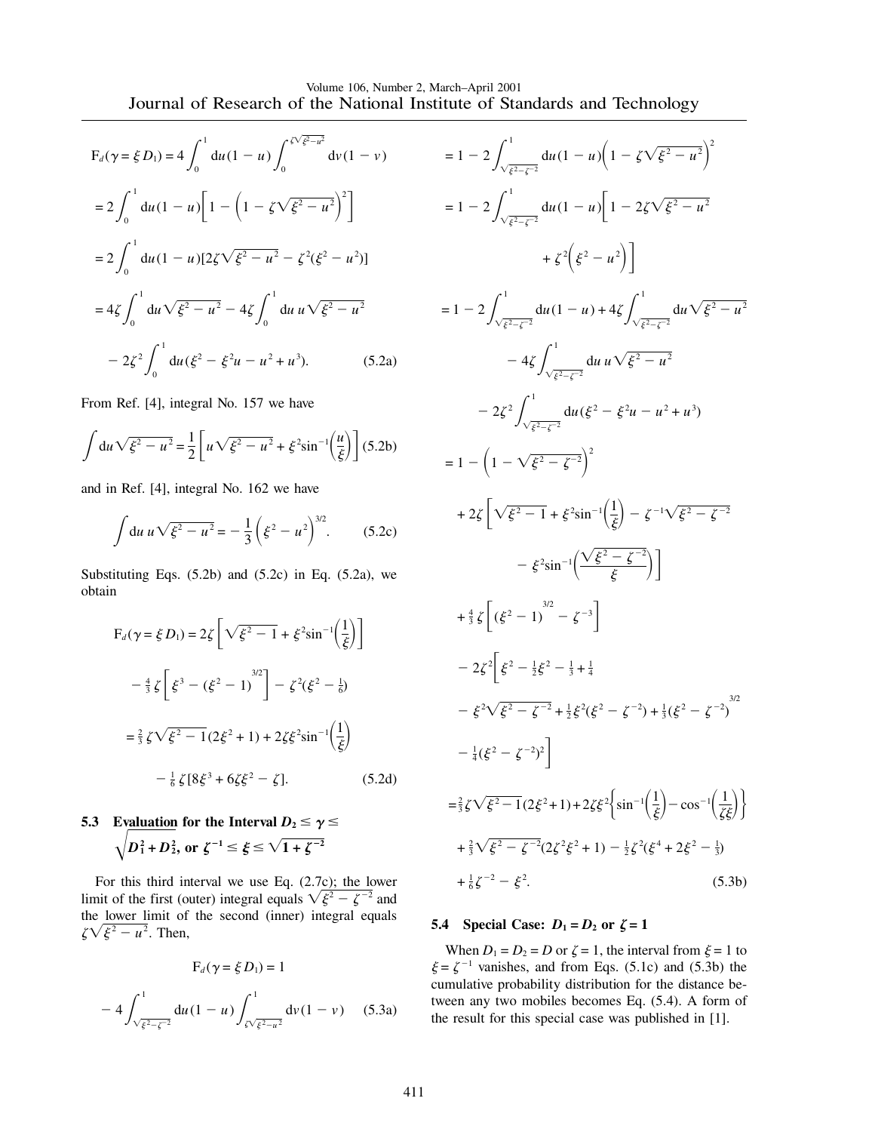$$
F_d(\gamma = \xi D_1) = 4 \int_0^1 du (1 - u) \int_0^{\sqrt{\xi^2 - u^2}} dv (1 - v)
$$
  
=  $2 \int_0^1 du (1 - u) \left[ 1 - \left( 1 - \zeta \sqrt{\xi^2 - u^2} \right)^2 \right]$   
=  $2 \int_0^1 du (1 - u) [2\zeta \sqrt{\xi^2 - u^2} - \zeta^2 (\xi^2 - u^2)]$   
=  $4\zeta \int_0^1 du \sqrt{\xi^2 - u^2} - 4\zeta \int_0^1 du u \sqrt{\xi^2 - u^2}$   
 $- 2\zeta^2 \int_0^1 du (\xi^2 - \xi^2 u - u^2 + u^3).$  (5.2a)

From Ref. [4], integral No. 157 we have

$$
\int du \sqrt{\xi^2 - u^2} = \frac{1}{2} \left[ u \sqrt{\xi^2 - u^2} + \xi^2 \sin^{-1} \left( \frac{u}{\xi} \right) \right] (5.2b)
$$

and in Ref. [4], integral No. 162 we have

$$
\int du \, u \sqrt{\xi^2 - u^2} = -\frac{1}{3} \left( \xi^2 - u^2 \right)^{3/2} . \tag{5.2c}
$$

Substituting Eqs.  $(5.2b)$  and  $(5.2c)$  in Eq.  $(5.2a)$ , we obtain

$$
F_d(\gamma = \xi D_1) = 2\zeta \left[ \sqrt{\xi^2 - 1} + \xi^2 \sin^{-1} \left( \frac{1}{\xi} \right) \right]
$$
  

$$
- \frac{4}{3} \zeta \left[ \xi^3 - (\xi^2 - 1)^{3/2} \right] - \zeta^2 (\xi^2 - \frac{1}{6})
$$
  

$$
= \frac{2}{3} \zeta \sqrt{\xi^2 - 1} (2\xi^2 + 1) + 2\zeta \xi^2 \sin^{-1} \left( \frac{1}{\xi} \right)
$$
  

$$
- \frac{1}{6} \zeta [8\xi^3 + 6\zeta \xi^2 - \zeta].
$$
 (5.2d)

**5.3** Evaluation for the Interval  $D_2 \le \gamma \le$  $\sqrt{D_1^2 + D_2^2}$ , or  $\zeta^{-1} \le \xi \le \sqrt{1 + \zeta^{-2}}$ 

For this third interval we use Eq. (2.7c); the lower limit of the first (outer) integral equals  $\sqrt{\xi^2 - \zeta^{-2}}$  and the lower limit of the second (inner) integral equals  $\zeta \sqrt{\xi^2 - u^2}$ . Then,

$$
F_d(\gamma = \xi D_1) = 1
$$
  
- 4  $\int_{\sqrt{\xi^2 - \zeta^{-2}}}^1 du (1 - u) \int_{\zeta \sqrt{\xi^2 - u^2}}^1 dv (1 - v) \quad (5.3a)$ 

$$
= 1 - 2 \int_{\sqrt{\xi^2 - \zeta^{-2}}}^1 du (1 - u) \left( 1 - \zeta \sqrt{\xi^2 - u^2} \right)^2
$$
  
\n
$$
= 1 - 2 \int_{\sqrt{\xi^2 - \zeta^{-2}}}^1 du (1 - u) \left[ 1 - 2\zeta \sqrt{\xi^2 - u^2} \right]
$$
  
\n
$$
+ \zeta^2 \left( \xi^2 - u^2 \right) \right]
$$
  
\n
$$
= 1 - 2 \int_{\sqrt{\xi^2 - \zeta^{-2}}}^1 du (1 - u) + 4\zeta \int_{\sqrt{\xi^2 - \zeta^{-2}}}^1 du \sqrt{\xi^2 - u^2}
$$
  
\n
$$
- 4\zeta \int_{\sqrt{\xi^2 - \zeta^{-2}}}^1 du u \sqrt{\xi^2 - u^2}
$$
  
\n
$$
- 2\zeta^2 \int_{\sqrt{\xi^2 - \zeta^{-2}}}^1 du (\xi^2 - \xi^2 u - u^2 + u^3)
$$
  
\n
$$
= 1 - \left( 1 - \sqrt{\xi^2 - \zeta^{-2}} \right)^2
$$
  
\n
$$
+ 2\zeta \left[ \sqrt{\xi^2 - 1} + \xi^2 \sin^{-1} \left( \frac{1}{\xi} \right) - \zeta^{-1} \sqrt{\xi^2 - \zeta^{-2}} - \zeta^2 \right]
$$
  
\n
$$
- \xi^2 \sin^{-1} \left( \frac{\sqrt{\xi^2 - \zeta^{-2}}}{\xi} \right) \right]
$$
  
\n
$$
+ \frac{4}{3} \zeta \left[ (\xi^2 - 1)^{3/2} - \zeta^{-3} \right]
$$
  
\n
$$
- 2\zeta^2 \left[ \xi^2 - \frac{1}{2}\xi^2 - \frac{1}{3} + \frac{1}{4} - \zeta^2 \sqrt{\xi^2 - \zeta^{-2}} + \frac{1}{3}(\xi^2 - \zeta^{-2})^2 \right]
$$
  
\n
$$
- \frac{1}{4}(\xi^2 - \zeta^{-2})^2 \right]
$$
  
\n
$$
= \frac{2}{3} \zeta \sqrt{\xi^2 - 1} (2\xi^2 + 1) + 2\zeta^2 \left\{ \sin^{-1} \left( \frac{1}{\xi} \right
$$

## **5.4** Special Case:  $D_1 = D_2$  or  $\zeta = 1$

When  $D_1 = D_2 = D$  or  $\zeta = 1$ , the interval from  $\xi = 1$  to  $\xi = \zeta^{-1}$  vanishes, and from Eqs. (5.1c) and (5.3b) the cumulative probability distribution for the distance between any two mobiles becomes Eq. (5.4). A form of the result for this special case was published in [1].